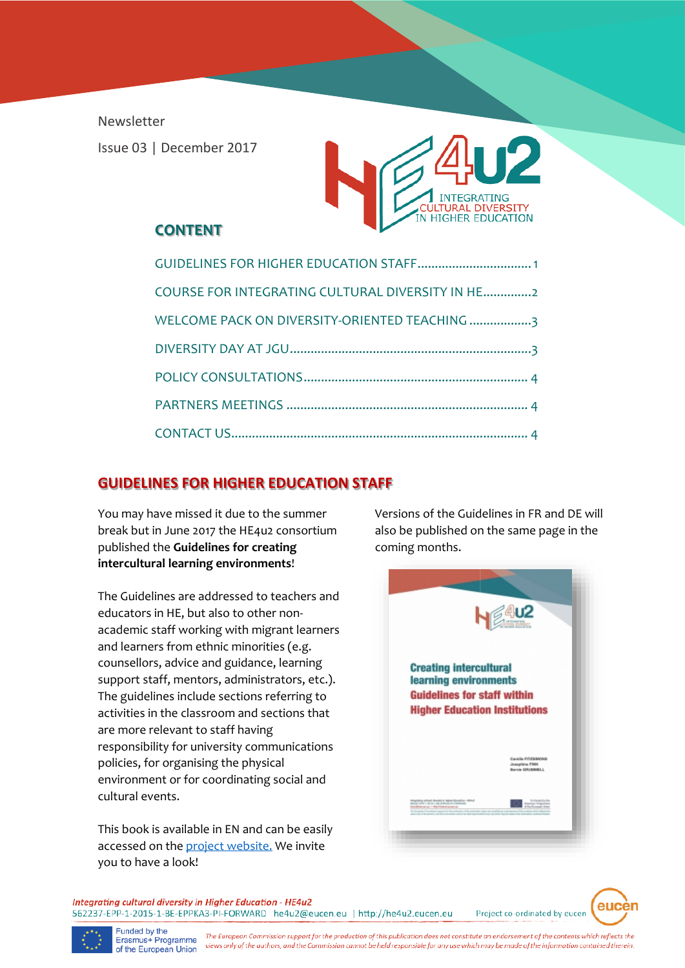Newsletter Issue 03 | December 2017



#### **CONTENT**

| COURSE FOR INTEGRATING CULTURAL DIVERSITY IN HE2 |
|--------------------------------------------------|
| WELCOME PACK ON DIVERSITY-ORIENTED TEACHING 3    |
|                                                  |
|                                                  |
|                                                  |
|                                                  |

# **GUIDELINES FOR HIGHER EDUCATION STAFF**

You may have missed it due to the summer break but in June 2017 the HE4u2 consortium published the **Guidelines for creating intercultural learning environments**!

The Guidelines are addressed to teachers and educators in HE, but also to other nonacademic staff working with migrant learners and learners from ethnic minorities (e.g. counsellors, advice and guidance, learning support staff, mentors, administrators, etc.). The guidelines include sections referring to activities in the classroom and sections that are more relevant to staff having responsibility for university communications policies, for organising the physical environment or for coordinating social and cultural events.

This book is available in EN and can be easily accessed on th[e project website.](http://he4u2.eucen.eu/outputs/) We invite you to have a look!

Versions of the Guidelines in FR and DE will also be published on the same page in the [coming months.](http://he4u2.eucen.eu/wp-content/uploads/2016/04/HE4u2_D2-5_Guidelines_JS_FINAL-2.pdf)



Integrating cultural diversity in Higher Education - HE4u2 562237-EPP-1-2015-1-BE-EPPKA3-PI-FORWARD he4u2@eucen.eu | http://he4u2.eucen.eu

Project co-ordinated by eucen

eucen



Funded by the<br>Erasmus+ Programme The European Commission support for the production of this publication does not constitute an endorsement of the contents which reflects the views only of the authors, and the Commission cannot be held responsible for any use which may be made of the information contained therein. of the European Union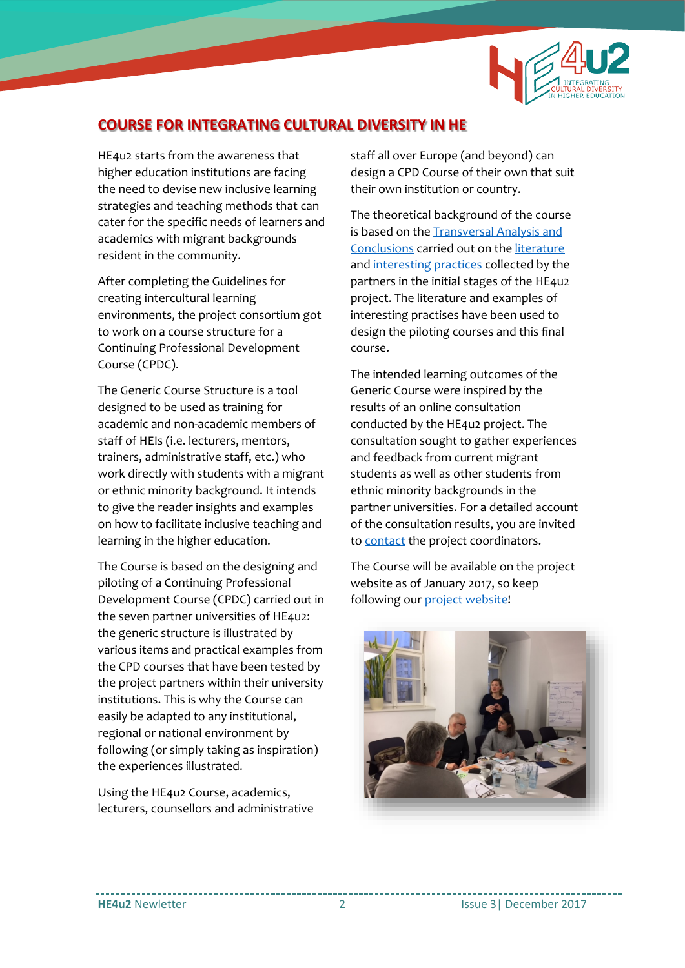

# **COURSE FOR INTEGRATING CULTURAL DIVERSITY IN HE**

HE4u2 starts from the awareness that higher education institutions are facing the need to devise new inclusive learning strategies and teaching methods that can cater for the specific needs of learners and academics with migrant backgrounds resident in the community.

After completing the Guidelines for creating intercultural learning environments, the project consortium got to work on a course structure for a Continuing Professional Development Course (CPDC).

The Generic Course Structure is a tool designed to be used as training for academic and non-academic members of staff of HEIs (i.e. lecturers, mentors, trainers, administrative staff, etc.) who work directly with students with a migrant or ethnic minority background. It intends to give the reader insights and examples on how to facilitate inclusive teaching and learning in the higher education.

The Course is based on the designing and piloting of a Continuing Professional Development Course (CPDC) carried out in the seven partner universities of HE4u2: the generic structure is illustrated by various items and practical examples from the CPD courses that have been tested by the project partners within their university institutions. This is why the Course can easily be adapted to any institutional, regional or national environment by following (or simply taking as inspiration) the experiences illustrated.

Using the HE4u2 Course, academics, lecturers, counsellors and administrative staff all over Europe (and beyond) can design a CPD Course of their own that suit their own institution or country.

The theoretical background of the course is based on the **Transversal Analysis and** Conclusions carried out on the [literature](http://he4u2.eucen.eu/literature/) an[d interesting practices](http://he4u2.eucen.eu/good-practices/) collected by the partners in the initial stages of the HE4u2 project. The literature and examples of interesting practises have been used to design the piloting courses and this final course.

The intended learning outcomes of the Generic Course were inspired by the results of an online consultation conducted by the HE4u2 project. The consultation sought to gather experiences and feedback from current migrant students as well as other students from ethnic minority backgrounds in the partner universities. For a detailed account of the consultation results, you are invited to [contact](mailto:HE4u2@eucen.eu) the project coordinators.

The Course will be available on the project website as of January 2017, so keep following our [project website!](http://he4u2.eucen.eu/outputs/)

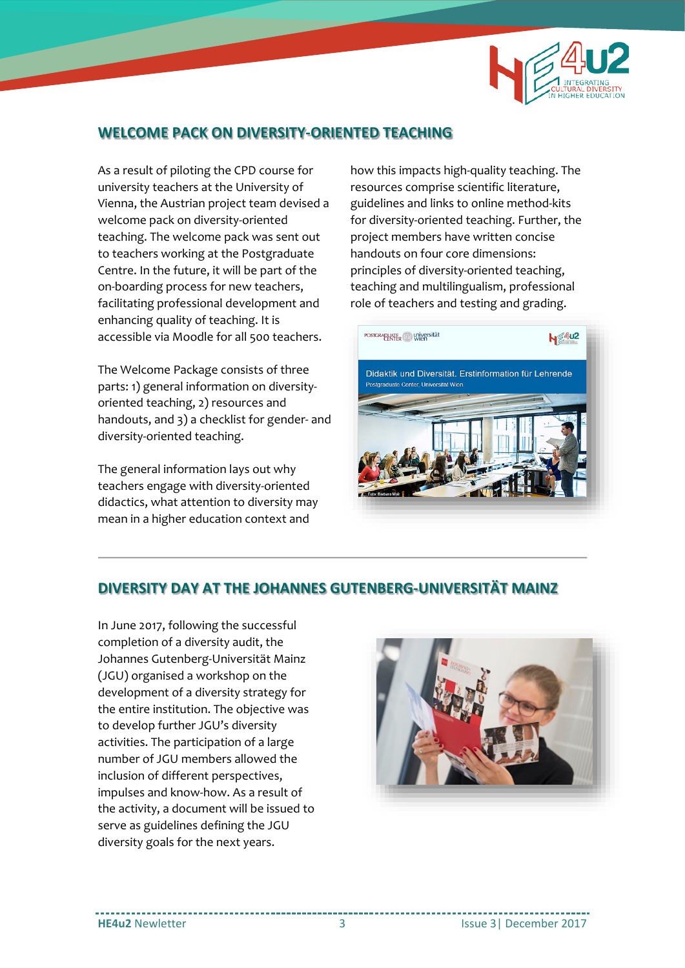

# **WELCOME PACK ON DIVERSITY-ORIENTED TEACHING**

As a result of piloting the CPD course for university teachers at the University of Vienna, the Austrian project team devised a welcome pack on diversity-oriented teaching. The welcome pack was sent out to teachers working at the Postgraduate Centre. In the future, it will be part of the on-boarding process for new teachers, facilitating professional development and enhancing quality of teaching. It is accessible via Moodle for all 500 teachers.

The Welcome Package consists of three parts: 1) general information on diversityoriented teaching, 2) resources and handouts, and 3) a checklist for gender- and diversity-oriented teaching.

The general information lays out why teachers engage with diversity-oriented didactics, what attention to diversity may mean in a higher education context and

how this impacts high-quality teaching. The resources comprise scientific literature, guidelines and links to online method-kits for diversity-oriented teaching. Further, the project members have written concise handouts on four core dimensions: principles of diversity-oriented teaching, teaching and multilingualism, professional role of teachers and testing and grading.



### **DIVERSITY DAY AT THE JOHANNES GUTENBERG-UNIVERSITÄT MAINZ**

In June 2017, following the successful completion of a diversity audit, the Johannes Gutenberg-Universität Mainz (JGU) organised a workshop on the development of a diversity strategy for the entire institution. The objective was to develop further JGU's diversity activities. The participation of a large number of JGU members allowed the inclusion of different perspectives, impulses and know-how. As a result of the activity, a document will be issued to serve as guidelines defining the JGU diversity goals for the next years.